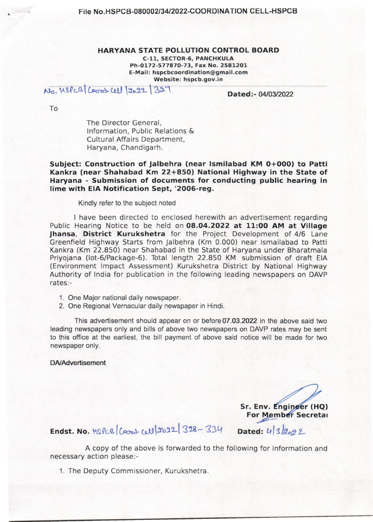### HARYANA STATE POLLUTION CONTROL BOARD C-ll, SECTOR-6, PANCHKULA Ph-0172-577870-73, Fax No. 2581201 E-Mail: hspcbcoordination@gmail.com Website: hspcb.gov.in

No,  $M_s$  ( $M_s$ ) ( $M_s$ ) ( $M_s$ ) ( $M_s$ )  $M_s$ ) ( $M_s$ ) ( $M_s$ ) ( $M_s$ ) ( $M_s$ ) ( $M_s$ ) ( $M_s$ ) ( $M_s$ ) ( $M_s$ ) ( $M_s$ ) ( $M_s$ ) ( $M_s$ ) ( $M_s$ ) ( $M_s$ ) ( $M_s$ ) ( $M_s$ ) ( $M_s$ ) ( $M_s$ ) ( $M_s$ ) ( $M_s$ ) ( $M_s$ ) ( $M_s$ ) ( $M_s$ ) ( $M_s$ ) ( $M_s$ ) ( $M_s$ ) ( $M_s$ 

To

The Director General, Information, Public Relations & Cultural Affairs Department, Haryana, Chandigarh.

Subject: Construction of Jalbehra (near Ismilabad KM 0+000) to Patti Kankra (near Shahabad Km 22+850) National Highway in the State of Haryana - Submission of documents for conducting public hearing in lime with EIA Notification Sept, '2006-reg.

Kindly refer to the subject noted

I have been directed to enclosed herewith an advertisement regarding Public Hearing Notice to be held on 08.04.2022 at 11:00 AM at Village Jhansa, District Kurukshetra for the Project Development of 4/6 Lane Greenfield Highway Starts from jalbehra (Km 0.000) near Ismailabad to Patti Kankra (Km 22.850) near Shahabad in the State of Haryana under Bharatmala Priyojana (lot-6/Package-6). Total length 22.850 KM submission of draft EIA (Environment Impact Assessment) Kurukshetra District by National Highway Authority of India for publication in the following leading newspapers on DAVP rates:-

- 1. One Major national daily newspaper.
- 2. One Regional Vernacular daily newspaper in Hindi.

This advertisement should appear on or before 07.03.2022 in the above said two leading newspapers only and bills of above two newspapers on DAVP rates may be sent to this office at the earliest, the bill payment of above said notice will be made for two newspaper only.

DA/Advertisement

Sr. Env. Enginger (HQ)<br>For Member Secretal

Dated: 4 3 2022

**Endst. No.**  $1868 | \cos \omega \omega | 2022 | 328 - 334$ 

A copy of the above is forwarded to the following for information and necessary action please:-

1. The Deputy Commissioner, Kurukshetra.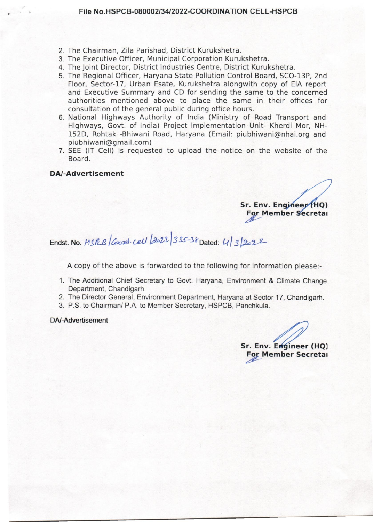- 2. The Chairman, Zila Parishad, District Kurukshetra.
- 3. The Executive Officer, Municipal Corporation Kurukshetra.
- 4. The Joint Director, District Industries Centre, District Kurukshetra.
- 5. The Regional Officer, Haryana State Pollution Control Board, SCO-13P, 2nd Floor, Sector-17, Urban Esate, Kurukshetra alongwith copy of EIA report and Executive Summary and CD for sending the same to the concerned authorities mentioned above to place the same in their offices for consultation of the general public during office hours.
- 6. National Highways Authority of India (Ministry of Road Transport and Highways, Govt. of India) Project Implementation Unit- Kherdi Mor, NH-152D, Rohtak -Bhiwani Road, Haryana (Email: piubhiwani@nhai.org and piubhiwani@gmail.com)
- 7. SEE (IT Cell) is requested to upload the notice on the website of the Board.

### **OAf-Advertisement**

Sr. Env. Engineer (HQ) For Member Secretal

# Endst. No. 11 SPCB / Coord. cell (2022) 335-38 Dated: 4/3/2022

A copy of the above is forwarded to the following for information please:-

- 1. The Additional Chief Secretary to Govt. Haryana, Environment & Climate Change Department, Chandigarh.
- 2. The Director General, Environment Department, Haryana at Sector 17, Chandigarh.
- 3. P.S. to Chairman/ P.A. to Member Secretary, HSPCB, Panchkula.

DN-Advertisement

Sr. Env. Engineer (HQ) **For Member Secretal**